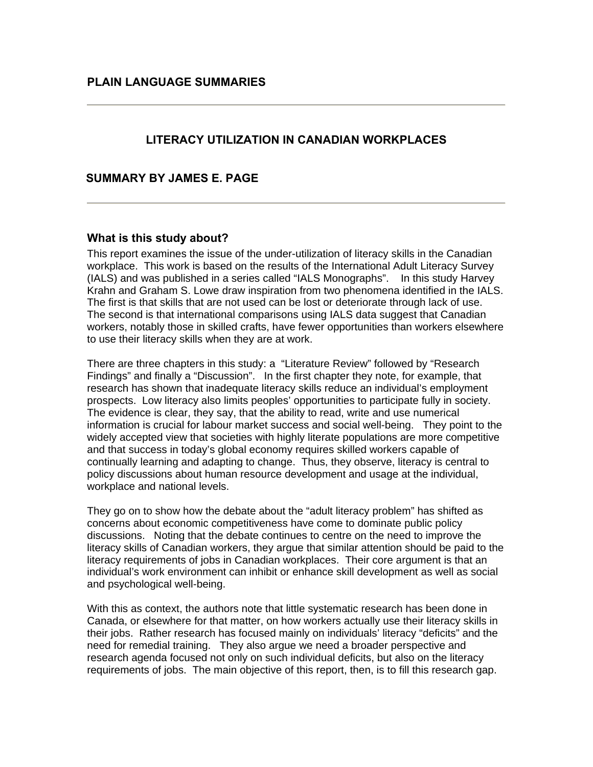# **LITERACY UTILIZATION IN CANADIAN WORKPLACES**

 **SUMMARY BY JAMES E. PAGE** 

#### **What is this study about?**

This report examines the issue of the under-utilization of literacy skills in the Canadian workplace. This work is based on the results of the International Adult Literacy Survey (IALS) and was published in a series called "IALS Monographs". In this study Harvey Krahn and Graham S. Lowe draw inspiration from two phenomena identified in the IALS. The first is that skills that are not used can be lost or deteriorate through lack of use. The second is that international comparisons using IALS data suggest that Canadian workers, notably those in skilled crafts, have fewer opportunities than workers elsewhere to use their literacy skills when they are at work.

There are three chapters in this study: a "Literature Review" followed by "Research Findings" and finally a "Discussion". In the first chapter they note, for example, that research has shown that inadequate literacy skills reduce an individual's employment prospects. Low literacy also limits peoples' opportunities to participate fully in society. The evidence is clear, they say, that the ability to read, write and use numerical information is crucial for labour market success and social well-being. They point to the widely accepted view that societies with highly literate populations are more competitive and that success in today's global economy requires skilled workers capable of continually learning and adapting to change. Thus, they observe, literacy is central to policy discussions about human resource development and usage at the individual, workplace and national levels.

They go on to show how the debate about the "adult literacy problem" has shifted as concerns about economic competitiveness have come to dominate public policy discussions. Noting that the debate continues to centre on the need to improve the literacy skills of Canadian workers, they argue that similar attention should be paid to the literacy requirements of jobs in Canadian workplaces. Their core argument is that an individual's work environment can inhibit or enhance skill development as well as social and psychological well-being.

With this as context, the authors note that little systematic research has been done in Canada, or elsewhere for that matter, on how workers actually use their literacy skills in their jobs. Rather research has focused mainly on individuals' literacy "deficits" and the need for remedial training. They also argue we need a broader perspective and research agenda focused not only on such individual deficits, but also on the literacy requirements of jobs. The main objective of this report, then, is to fill this research gap.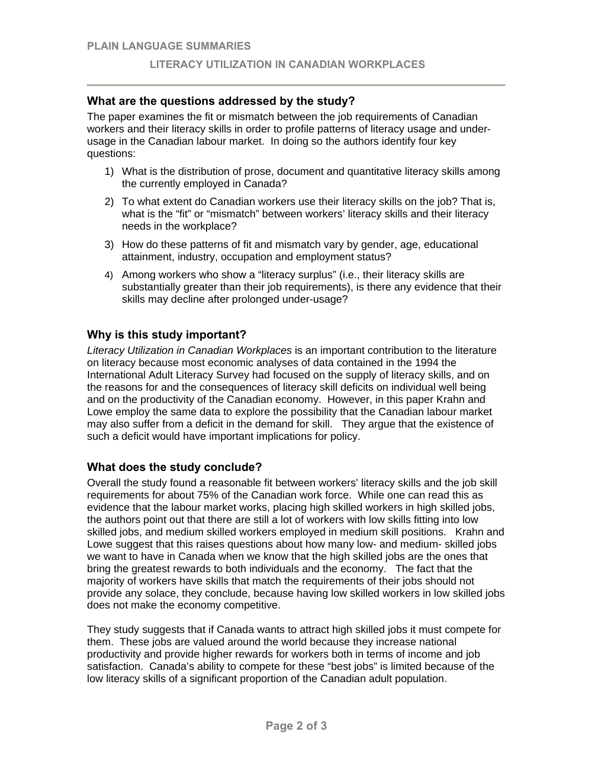# **What are the questions addressed by the study?**

The paper examines the fit or mismatch between the job requirements of Canadian workers and their literacy skills in order to profile patterns of literacy usage and underusage in the Canadian labour market. In doing so the authors identify four key questions:

- 1) What is the distribution of prose, document and quantitative literacy skills among the currently employed in Canada?
- 2) To what extent do Canadian workers use their literacy skills on the job? That is, what is the "fit" or "mismatch" between workers' literacy skills and their literacy needs in the workplace?
- 3) How do these patterns of fit and mismatch vary by gender, age, educational attainment, industry, occupation and employment status?
- 4) Among workers who show a "literacy surplus" (i.e., their literacy skills are substantially greater than their job requirements), is there any evidence that their skills may decline after prolonged under-usage?

### **Why is this study important?**

*Literacy Utilization in Canadian Workplaces* is an important contribution to the literature on literacy because most economic analyses of data contained in the 1994 the International Adult Literacy Survey had focused on the supply of literacy skills, and on the reasons for and the consequences of literacy skill deficits on individual well being and on the productivity of the Canadian economy. However, in this paper Krahn and Lowe employ the same data to explore the possibility that the Canadian labour market may also suffer from a deficit in the demand for skill. They argue that the existence of such a deficit would have important implications for policy.

### **What does the study conclude?**

Overall the study found a reasonable fit between workers' literacy skills and the job skill requirements for about 75% of the Canadian work force. While one can read this as evidence that the labour market works, placing high skilled workers in high skilled jobs, the authors point out that there are still a lot of workers with low skills fitting into low skilled jobs, and medium skilled workers employed in medium skill positions. Krahn and Lowe suggest that this raises questions about how many low- and medium- skilled jobs we want to have in Canada when we know that the high skilled jobs are the ones that bring the greatest rewards to both individuals and the economy. The fact that the majority of workers have skills that match the requirements of their jobs should not provide any solace, they conclude, because having low skilled workers in low skilled jobs does not make the economy competitive.

They study suggests that if Canada wants to attract high skilled jobs it must compete for them. These jobs are valued around the world because they increase national productivity and provide higher rewards for workers both in terms of income and job satisfaction. Canada's ability to compete for these "best jobs" is limited because of the low literacy skills of a significant proportion of the Canadian adult population.